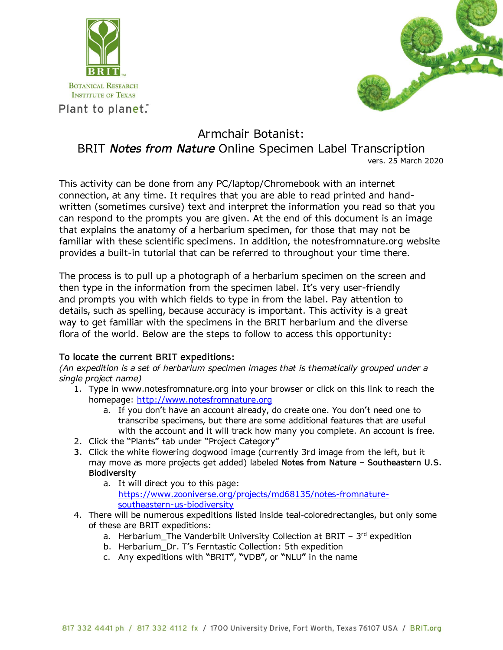



## Armchair Botanist: BRIT *Notes from Nature* Online Specimen Label Transcription vers. 25 March 2020

This activity can be done from any PC/laptop/Chromebook with an internet connection, at any time. It requires that you are able to read printed and handwritten (sometimes cursive) text and interpret the information you read so that you can respond to the prompts you are given. At the end of this document is an image that explains the anatomy of a herbarium specimen, for those that may not be familiar with these scientific specimens. In addition, the notesfromnature.org website provides a built-in tutorial that can be referred to throughout your time there.

The process is to pull up a photograph of a herbarium specimen on the screen and then type in the information from the specimen label. It's very user-friendly and prompts you with which fields to type in from the label. Pay attention to details, such as spelling, because accuracy is important. This activity is a great way to get familiar with the specimens in the BRIT herbarium and the diverse flora of the world. Below are the steps to follow to access this opportunity:

## **To locate the current BRIT expeditions:**

*(An expedition is a set of herbarium specimen images that is thematically grouped under a single project name)*

- 1. Type in www.notesfromnature.org into your browser or click on this link to reach the homepage: [http://www.notesfromnature.org](http://www.notesfromnature.org/)
	- a. If you don't have an account already, do create one. You don't need one to transcribe specimens, but there are some additional features that are useful with the account and it will track how many you complete. An account is free.
- 2. Click the "Plants" tab under "Project Category"
- **3.** Click the white flowering dogwood image (currently 3rd image from the left, but it may move as more projects get added) labeled **Notes from Nature – Southeastern U.S. Biodiversity**
	- a. It will direct you to this page: [https://www.zooniverse.org/projects/md68135/notes-fromnature](https://www.zooniverse.org/projects/md68135/notes-fromnature-southeastern-us-biodiversity)[southeastern-us-biodiversity](https://www.zooniverse.org/projects/md68135/notes-fromnature-southeastern-us-biodiversity)
- 4. There will be numerous expeditions listed inside teal-coloredrectangles, but only some of these are BRIT expeditions:
	- a. Herbarium\_The Vanderbilt University Collection at BRIT  $-3^{rd}$  expedition
	- b. Herbarium\_Dr. T's Ferntastic Collection: 5th expedition
	- c. Any expeditions with "BRIT", "VDB", or "NLU" in the name